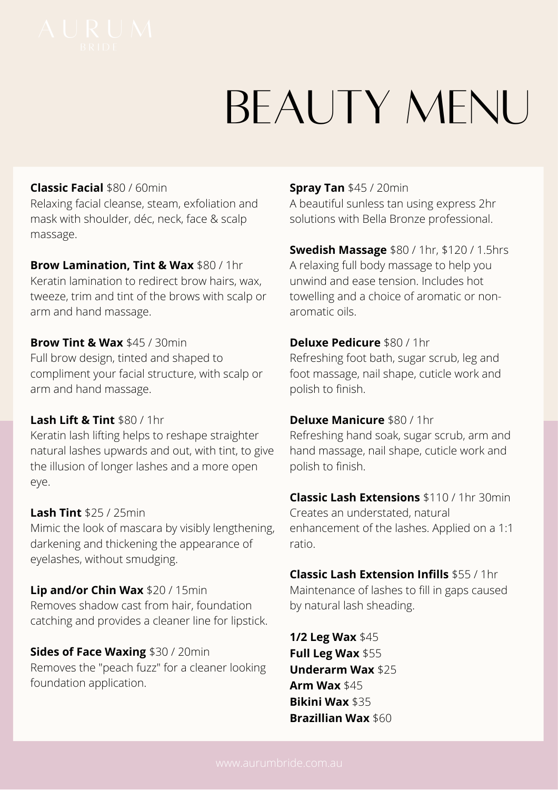# BEAUTY MFNU

## **Classic Facial** \$80 / 60min

Relaxing facial cleanse, steam, exfoliation and mask with shoulder, déc, neck, face & scalp massage.

#### **Brow Lamination, Tint & Wax** \$80 / 1hr

Keratin lamination to redirect brow hairs, wax, tweeze, trim and tint of the brows with scalp or arm and hand massage.

#### **Brow Tint & Wax** \$45 / 30min

Full brow design, tinted and shaped to compliment your facial structure, with scalp or arm and hand massage.

#### **Lash Lift & Tint** \$80 / 1hr

Keratin lash lifting helps to reshape straighter natural lashes upwards and out, with tint, to give the illusion of longer lashes and a more open eye.

#### **Lash Tint** \$25 / 25min

Mimic the look of mascara by visibly lengthening, darkening and thickening the appearance of eyelashes, without smudging.

**Lip and/or Chin Wax** \$20 / 15min Removes shadow cast from hair, foundation catching and provides a cleaner line for lipstick.

**Sides of Face Waxing** \$30 / 20min Removes the "peach fuzz" for a cleaner looking foundation application.

### **Spray Tan** \$45 / 20min

A beautiful sunless tan using express 2hr solutions with Bella Bronze professional.

**Swedish Massage** \$80 / 1hr, \$120 / 1.5hrs A relaxing full body massage to help you unwind and ease tension. Includes hot towelling and a choice of aromatic or nonaromatic oils.

#### **Deluxe Pedicure** \$80 / 1hr

Refreshing foot bath, sugar scrub, leg and foot massage, nail shape, cuticle work and polish to finish.

#### **Deluxe Manicure** \$80 / 1hr

Refreshing hand soak, sugar scrub, arm and hand massage, nail shape, cuticle work and polish to finish.

**Classic Lash Extensions** \$110 / 1hr 30min Creates an understated, natural enhancement of the lashes. Applied on a 1:1 ratio.

**Classic Lash Extension Infills** \$55 / 1hr Maintenance of lashes to fill in gaps caused by natural lash sheading.

**1/2 Leg Wax** \$45 **Full Leg Wax** \$55 **Underarm Wax** \$25 **Arm Wax** \$45 **Bikini Wax** \$35 **Brazillian Wax** \$60